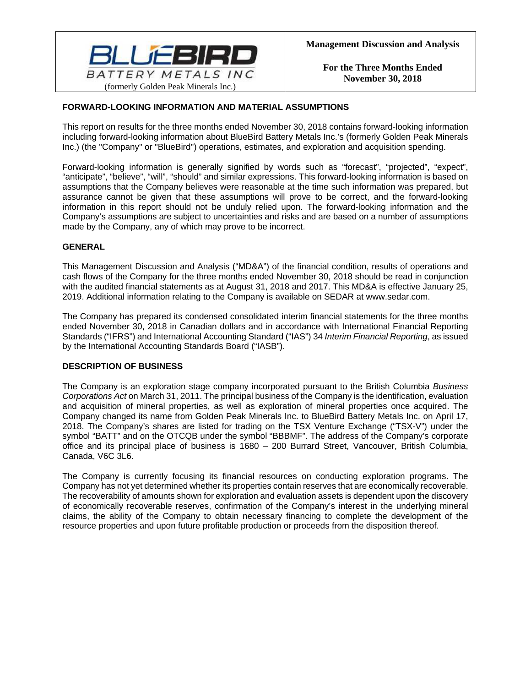

# **FORWARD-LOOKING INFORMATION AND MATERIAL ASSUMPTIONS**

This report on results for the three months ended November 30, 2018 contains forward-looking information including forward-looking information about BlueBird Battery Metals Inc.'s (formerly Golden Peak Minerals Inc.) (the "Company" or "BlueBird") operations, estimates, and exploration and acquisition spending.

Forward-looking information is generally signified by words such as "forecast", "projected", "expect", "anticipate", "believe", "will", "should" and similar expressions. This forward-looking information is based on assumptions that the Company believes were reasonable at the time such information was prepared, but assurance cannot be given that these assumptions will prove to be correct, and the forward-looking information in this report should not be unduly relied upon. The forward-looking information and the Company's assumptions are subject to uncertainties and risks and are based on a number of assumptions made by the Company, any of which may prove to be incorrect.

#### **GENERAL**

This Management Discussion and Analysis ("MD&A") of the financial condition, results of operations and cash flows of the Company for the three months ended November 30, 2018 should be read in conjunction with the audited financial statements as at August 31, 2018 and 2017. This MD&A is effective January 25, 2019. Additional information relating to the Company is available on SEDAR at www.sedar.com.

The Company has prepared its condensed consolidated interim financial statements for the three months ended November 30, 2018 in Canadian dollars and in accordance with International Financial Reporting Standards ("IFRS") and International Accounting Standard ("IAS") 34 *Interim Financial Reporting*, as issued by the International Accounting Standards Board ("IASB").

### **DESCRIPTION OF BUSINESS**

The Company is an exploration stage company incorporated pursuant to the British Columbia *Business Corporations Act* on March 31, 2011. The principal business of the Company is the identification, evaluation and acquisition of mineral properties, as well as exploration of mineral properties once acquired. The Company changed its name from Golden Peak Minerals Inc. to BlueBird Battery Metals Inc. on April 17, 2018. The Company's shares are listed for trading on the TSX Venture Exchange ("TSX-V") under the symbol "BATT" and on the OTCQB under the symbol "BBBMF". The address of the Company's corporate office and its principal place of business is 1680 – 200 Burrard Street, Vancouver, British Columbia, Canada, V6C 3L6.

The Company is currently focusing its financial resources on conducting exploration programs. The Company has not yet determined whether its properties contain reserves that are economically recoverable. The recoverability of amounts shown for exploration and evaluation assets is dependent upon the discovery of economically recoverable reserves, confirmation of the Company's interest in the underlying mineral claims, the ability of the Company to obtain necessary financing to complete the development of the resource properties and upon future profitable production or proceeds from the disposition thereof.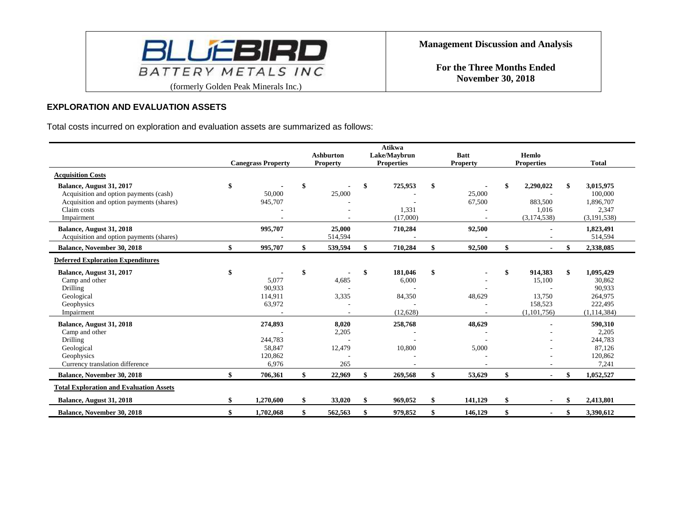

### **EXPLORATION AND EVALUATION ASSETS**

Total costs incurred on exploration and evaluation assets are summarized as follows:

|                                                                                                                                             |                                                  | <b>Ashburton</b>                | <b>Atikwa</b><br>Lake/Maybrun                | <b>Batt</b>      | Hemlo                                                       |                                                                      |
|---------------------------------------------------------------------------------------------------------------------------------------------|--------------------------------------------------|---------------------------------|----------------------------------------------|------------------|-------------------------------------------------------------|----------------------------------------------------------------------|
|                                                                                                                                             | <b>Canegrass Property</b>                        | <b>Property</b>                 | <b>Properties</b>                            | <b>Property</b>  | <b>Properties</b>                                           | <b>Total</b>                                                         |
| <b>Acquisition Costs</b>                                                                                                                    |                                                  |                                 |                                              |                  |                                                             |                                                                      |
| Balance, August 31, 2017<br>Acquisition and option payments (cash)<br>Acquisition and option payments (shares)<br>Claim costs<br>Impairment | \$<br>50,000<br>945,707                          | \$<br>25,000                    | 725,953<br>1,331<br>(17,000)                 | 25,000<br>67,500 | \$<br>2,290,022<br>883,500<br>1,016<br>(3, 174, 538)        | 3,015,975<br>100,000<br>1,896,707<br>2,347<br>(3, 191, 538)          |
| Balance, August 31, 2018<br>Acquisition and option payments (shares)                                                                        | 995,707                                          | 25,000<br>514,594               | 710,284                                      | 92,500           |                                                             | 1,823,491<br>514,594                                                 |
| <b>Balance, November 30, 2018</b>                                                                                                           | \$<br>995,707                                    | \$<br>539,594                   | \$<br>710,284                                | 92,500           | \$                                                          | \$<br>2,338,085                                                      |
| <b>Deferred Exploration Expenditures</b>                                                                                                    |                                                  |                                 |                                              |                  |                                                             |                                                                      |
| Balance, August 31, 2017<br>Camp and other<br>Drilling<br>Geological<br>Geophysics<br>Impairment                                            | \$<br>5,077<br>90,933<br>114,911<br>63,972       | \$<br>4,685<br>3,335            | \$<br>181,046<br>6,000<br>84,350<br>(12,628) | 48,629           | \$<br>914,383<br>15,100<br>13,750<br>158,523<br>(1,101,756) | 1,095,429<br>30,862<br>90,933<br>264,975<br>222,495<br>(1, 114, 384) |
| Balance, August 31, 2018<br>Camp and other<br>Drilling<br>Geological<br>Geophysics<br>Currency translation difference                       | 274,893<br>244,783<br>58,847<br>120,862<br>6,976 | 8,020<br>2,205<br>12,479<br>265 | 258,768<br>10,800                            | 48,629<br>5,000  |                                                             | 590,310<br>2,205<br>244,783<br>87,126<br>120,862<br>7,241            |
| <b>Balance, November 30, 2018</b>                                                                                                           | 706,361                                          | \$<br>22,969                    | \$<br>269,568                                | 53,629           | \$<br>$\blacksquare$                                        | 1,052,527                                                            |
| <b>Total Exploration and Evaluation Assets</b>                                                                                              |                                                  |                                 |                                              |                  |                                                             |                                                                      |
| Balance, August 31, 2018                                                                                                                    | 1,270,600                                        | \$<br>33,020                    | \$<br>969,052                                | 141.129          | \$                                                          | 2.413.801                                                            |
| <b>Balance, November 30, 2018</b>                                                                                                           | 1,702,068                                        | \$<br>562,563                   | \$<br>979,852                                | 146,129          | \$<br>$\blacksquare$                                        | 3,390,612                                                            |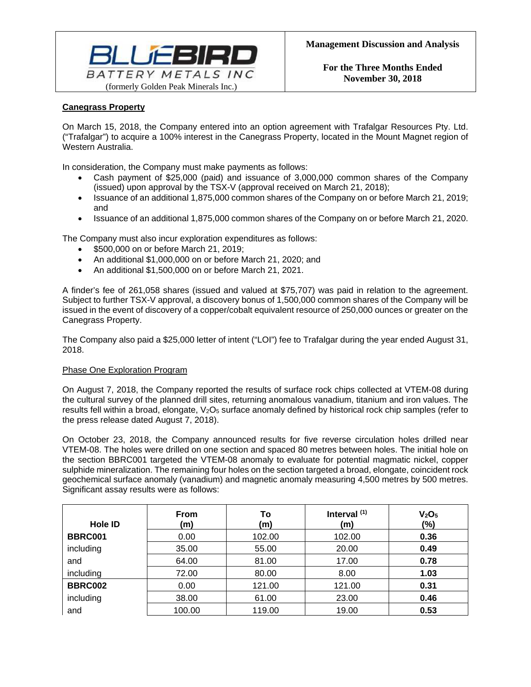

# **Canegrass Property**

On March 15, 2018, the Company entered into an option agreement with Trafalgar Resources Pty. Ltd. ("Trafalgar") to acquire a 100% interest in the Canegrass Property, located in the Mount Magnet region of Western Australia.

In consideration, the Company must make payments as follows:

- Cash payment of \$25,000 (paid) and issuance of 3,000,000 common shares of the Company (issued) upon approval by the TSX-V (approval received on March 21, 2018);
- Issuance of an additional 1,875,000 common shares of the Company on or before March 21, 2019; and
- Issuance of an additional 1,875,000 common shares of the Company on or before March 21, 2020.

The Company must also incur exploration expenditures as follows:

- \$500,000 on or before March 21, 2019;
- An additional \$1,000,000 on or before March 21, 2020; and
- An additional \$1,500,000 on or before March 21, 2021.

A finder's fee of 261,058 shares (issued and valued at \$75,707) was paid in relation to the agreement. Subject to further TSX-V approval, a discovery bonus of 1,500,000 common shares of the Company will be issued in the event of discovery of a copper/cobalt equivalent resource of 250,000 ounces or greater on the Canegrass Property.

The Company also paid a \$25,000 letter of intent ("LOI") fee to Trafalgar during the year ended August 31, 2018.

### Phase One Exploration Program

On August 7, 2018, the Company reported the results of surface rock chips collected at VTEM-08 during the cultural survey of the planned drill sites, returning anomalous vanadium, titanium and iron values. The results fell within a broad, elongate, V<sub>2</sub>O<sub>5</sub> surface anomaly defined by historical rock chip samples (refer to the press release dated August 7, 2018).

On October 23, 2018, the Company announced results for five reverse circulation holes drilled near VTEM-08. The holes were drilled on one section and spaced 80 metres between holes. The initial hole on the section BBRC001 targeted the VTEM-08 anomaly to evaluate for potential magmatic nickel, copper sulphide mineralization. The remaining four holes on the section targeted a broad, elongate, coincident rock geochemical surface anomaly (vanadium) and magnetic anomaly measuring 4,500 metres by 500 metres. Significant assay results were as follows:

| Hole ID        | <b>From</b><br>(m) | Т٥<br>(m) | Interval $(1)$<br>(m) | V <sub>2</sub> O <sub>5</sub><br>$(\% )$ |
|----------------|--------------------|-----------|-----------------------|------------------------------------------|
| <b>BBRC001</b> | 0.00               | 102.00    | 102.00                | 0.36                                     |
| including      | 35.00              | 55.00     | 20.00                 | 0.49                                     |
| and            | 64.00              | 81.00     | 17.00                 | 0.78                                     |
| including      | 72.00              | 80.00     | 8.00                  | 1.03                                     |
| <b>BBRC002</b> | 0.00               | 121.00    | 121.00                | 0.31                                     |
| including      | 38.00              | 61.00     | 23.00                 | 0.46                                     |
| and            | 100.00             | 119.00    | 19.00                 | 0.53                                     |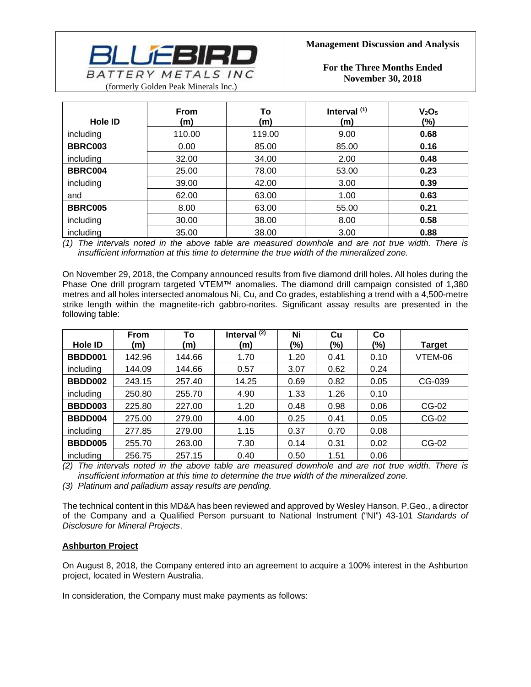

**For the Three Months Ended November 30, 2018** 

| Hole ID        | <b>From</b><br>(m) | To<br>(m) | Interval $(1)$<br>(m) | V <sub>2</sub> O <sub>5</sub><br>(%) |
|----------------|--------------------|-----------|-----------------------|--------------------------------------|
| including      | 110.00             | 119.00    | 9.00                  | 0.68                                 |
| <b>BBRC003</b> | 0.00               | 85.00     | 85.00                 | 0.16                                 |
| including      | 32.00              | 34.00     | 2.00                  | 0.48                                 |
| <b>BBRC004</b> | 25.00              | 78.00     | 53.00                 | 0.23                                 |
| including      | 39.00              | 42.00     | 3.00                  | 0.39                                 |
| and            | 62.00              | 63.00     | 1.00                  | 0.63                                 |
| <b>BBRC005</b> | 8.00               | 63.00     | 55.00                 | 0.21                                 |
| including      | 30.00              | 38.00     | 8.00                  | 0.58                                 |
| including      | 35.00              | 38.00     | 3.00                  | 0.88                                 |

*(1) The intervals noted in the above table are measured downhole and are not true width. There is insufficient information at this time to determine the true width of the mineralized zone.* 

On November 29, 2018, the Company announced results from five diamond drill holes. All holes during the Phase One drill program targeted VTEM™ anomalies. The diamond drill campaign consisted of 1,380 metres and all holes intersected anomalous Ni, Cu, and Co grades, establishing a trend with a 4,500-metre strike length within the magnetite-rich gabbro-norites. Significant assay results are presented in the following table:

|           | <b>From</b> | To     | Interval $(2)$ | Ni     | Cu   | Co   |               |
|-----------|-------------|--------|----------------|--------|------|------|---------------|
| Hole ID   | (m)         | (m)    | (m)            | $(\%)$ | (%)  | (%)  | <b>Target</b> |
| BBDD001   | 142.96      | 144.66 | 1.70           | 1.20   | 0.41 | 0.10 | VTEM-06       |
| including | 144.09      | 144.66 | 0.57           | 3.07   | 0.62 | 0.24 |               |
| BBDD002   | 243.15      | 257.40 | 14.25          | 0.69   | 0.82 | 0.05 | CG-039        |
| including | 250.80      | 255.70 | 4.90           | 1.33   | 1.26 | 0.10 |               |
| BBDD003   | 225.80      | 227.00 | 1.20           | 0.48   | 0.98 | 0.06 | CG-02         |
| BBDD004   | 275.00      | 279.00 | 4.00           | 0.25   | 0.41 | 0.05 | CG-02         |
| including | 277.85      | 279.00 | 1.15           | 0.37   | 0.70 | 0.08 |               |
| BBDD005   | 255.70      | 263.00 | 7.30           | 0.14   | 0.31 | 0.02 | CG-02         |
| including | 256.75      | 257.15 | 0.40           | 0.50   | 1.51 | 0.06 |               |

*(2) The intervals noted in the above table are measured downhole and are not true width. There is insufficient information at this time to determine the true width of the mineralized zone.* 

*(3) Platinum and palladium assay results are pending.* 

The technical content in this MD&A has been reviewed and approved by Wesley Hanson, P.Geo., a director of the Company and a Qualified Person pursuant to National Instrument ("NI") 43-101 *Standards of Disclosure for Mineral Projects*.

### **Ashburton Project**

On August 8, 2018, the Company entered into an agreement to acquire a 100% interest in the Ashburton project, located in Western Australia.

In consideration, the Company must make payments as follows: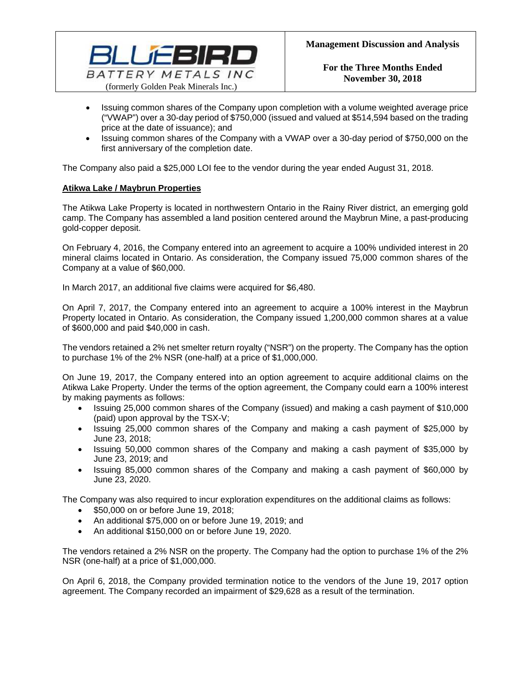

- Issuing common shares of the Company upon completion with a volume weighted average price ("VWAP") over a 30-day period of \$750,000 (issued and valued at \$514,594 based on the trading price at the date of issuance); and
- Issuing common shares of the Company with a VWAP over a 30-day period of \$750,000 on the first anniversary of the completion date.

The Company also paid a \$25,000 LOI fee to the vendor during the year ended August 31, 2018.

## **Atikwa Lake / Maybrun Properties**

The Atikwa Lake Property is located in northwestern Ontario in the Rainy River district, an emerging gold camp. The Company has assembled a land position centered around the Maybrun Mine, a past-producing gold-copper deposit.

On February 4, 2016, the Company entered into an agreement to acquire a 100% undivided interest in 20 mineral claims located in Ontario. As consideration, the Company issued 75,000 common shares of the Company at a value of \$60,000.

In March 2017, an additional five claims were acquired for \$6,480.

On April 7, 2017, the Company entered into an agreement to acquire a 100% interest in the Maybrun Property located in Ontario. As consideration, the Company issued 1,200,000 common shares at a value of \$600,000 and paid \$40,000 in cash.

The vendors retained a 2% net smelter return royalty ("NSR") on the property. The Company has the option to purchase 1% of the 2% NSR (one-half) at a price of \$1,000,000.

On June 19, 2017, the Company entered into an option agreement to acquire additional claims on the Atikwa Lake Property. Under the terms of the option agreement, the Company could earn a 100% interest by making payments as follows:

- Issuing 25,000 common shares of the Company (issued) and making a cash payment of \$10,000 (paid) upon approval by the TSX-V;
- Issuing 25,000 common shares of the Company and making a cash payment of \$25,000 by June 23, 2018;
- Issuing 50,000 common shares of the Company and making a cash payment of \$35,000 by June 23, 2019; and
- Issuing 85,000 common shares of the Company and making a cash payment of \$60,000 by June 23, 2020.

The Company was also required to incur exploration expenditures on the additional claims as follows:

- **\$50,000 on or before June 19, 2018;**
- An additional \$75,000 on or before June 19, 2019; and
- An additional \$150,000 on or before June 19, 2020.

The vendors retained a 2% NSR on the property. The Company had the option to purchase 1% of the 2% NSR (one-half) at a price of \$1,000,000.

On April 6, 2018, the Company provided termination notice to the vendors of the June 19, 2017 option agreement. The Company recorded an impairment of \$29,628 as a result of the termination.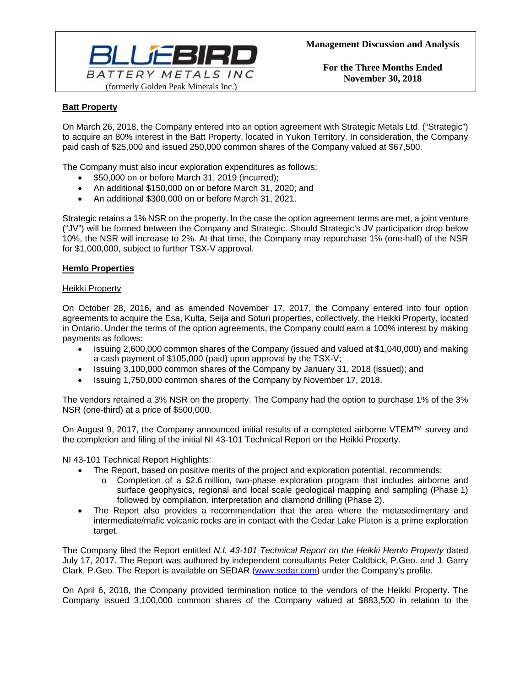

# **Batt Property**

On March 26, 2018, the Company entered into an option agreement with Strategic Metals Ltd. ("Strategic") to acquire an 80% interest in the Batt Property, located in Yukon Territory. In consideration, the Company paid cash of \$25,000 and issued 250,000 common shares of the Company valued at \$67,500.

The Company must also incur exploration expenditures as follows:

- \$50,000 on or before March 31, 2019 (incurred);
- An additional \$150,000 on or before March 31, 2020; and
- An additional \$300,000 on or before March 31, 2021.

Strategic retains a 1% NSR on the property. In the case the option agreement terms are met, a joint venture ("JV") will be formed between the Company and Strategic. Should Strategic's JV participation drop below 10%, the NSR will increase to 2%. At that time, the Company may repurchase 1% (one-half) of the NSR for \$1,000,000, subject to further TSX-V approval.

### **Hemlo Properties**

### Heikki Property

On October 28, 2016, and as amended November 17, 2017, the Company entered into four option agreements to acquire the Esa, Kulta, Seija and Soturi properties, collectively, the Heikki Property, located in Ontario. Under the terms of the option agreements, the Company could earn a 100% interest by making payments as follows:

- Issuing 2,600,000 common shares of the Company (issued and valued at \$1,040,000) and making a cash payment of \$105,000 (paid) upon approval by the TSX-V;
- Issuing 3,100,000 common shares of the Company by January 31, 2018 (issued); and
- Issuing 1,750,000 common shares of the Company by November 17, 2018.

The vendors retained a 3% NSR on the property. The Company had the option to purchase 1% of the 3% NSR (one-third) at a price of \$500,000.

On August 9, 2017, the Company announced initial results of a completed airborne VTEM™ survey and the completion and filing of the initial NI 43-101 Technical Report on the Heikki Property.

NI 43-101 Technical Report Highlights:

- The Report, based on positive merits of the project and exploration potential, recommends:
	- o Completion of a \$2.6 million, two-phase exploration program that includes airborne and surface geophysics, regional and local scale geological mapping and sampling (Phase 1) followed by compilation, interpretation and diamond drilling (Phase 2).
- The Report also provides a recommendation that the area where the metasedimentary and intermediate/mafic volcanic rocks are in contact with the Cedar Lake Pluton is a prime exploration target.

The Company filed the Report entitled *N.I. 43-101 Technical Report on the Heikki Hemlo Property* dated July 17, 2017. The Report was authored by independent consultants Peter Caldbick, P.Geo. and J. Garry Clark, P.Geo. The Report is available on SEDAR (www.sedar.com) under the Company's profile.

On April 6, 2018, the Company provided termination notice to the vendors of the Heikki Property. The Company issued 3,100,000 common shares of the Company valued at \$883,500 in relation to the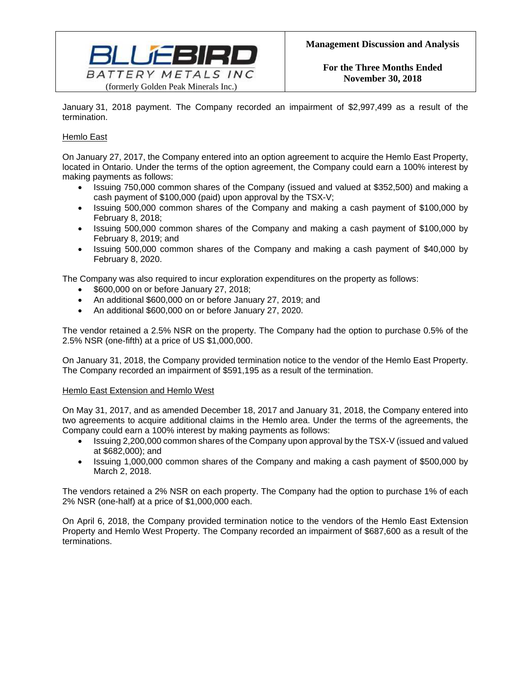

January 31, 2018 payment. The Company recorded an impairment of \$2,997,499 as a result of the termination.

# Hemlo East

On January 27, 2017, the Company entered into an option agreement to acquire the Hemlo East Property, located in Ontario. Under the terms of the option agreement, the Company could earn a 100% interest by making payments as follows:

- Issuing 750,000 common shares of the Company (issued and valued at \$352,500) and making a cash payment of \$100,000 (paid) upon approval by the TSX-V;
- Issuing 500,000 common shares of the Company and making a cash payment of \$100,000 by February 8, 2018;
- Issuing 500,000 common shares of the Company and making a cash payment of \$100,000 by February 8, 2019; and
- Issuing 500,000 common shares of the Company and making a cash payment of \$40,000 by February 8, 2020.

The Company was also required to incur exploration expenditures on the property as follows:

- **\$600,000 on or before January 27, 2018;**
- An additional \$600,000 on or before January 27, 2019; and
- An additional \$600,000 on or before January 27, 2020.

The vendor retained a 2.5% NSR on the property. The Company had the option to purchase 0.5% of the 2.5% NSR (one-fifth) at a price of US \$1,000,000.

On January 31, 2018, the Company provided termination notice to the vendor of the Hemlo East Property. The Company recorded an impairment of \$591,195 as a result of the termination.

### Hemlo East Extension and Hemlo West

On May 31, 2017, and as amended December 18, 2017 and January 31, 2018, the Company entered into two agreements to acquire additional claims in the Hemlo area. Under the terms of the agreements, the Company could earn a 100% interest by making payments as follows:

- Issuing 2,200,000 common shares of the Company upon approval by the TSX-V (issued and valued at \$682,000); and
- Issuing 1,000,000 common shares of the Company and making a cash payment of \$500,000 by March 2, 2018.

The vendors retained a 2% NSR on each property. The Company had the option to purchase 1% of each 2% NSR (one-half) at a price of \$1,000,000 each.

On April 6, 2018, the Company provided termination notice to the vendors of the Hemlo East Extension Property and Hemlo West Property. The Company recorded an impairment of \$687,600 as a result of the terminations.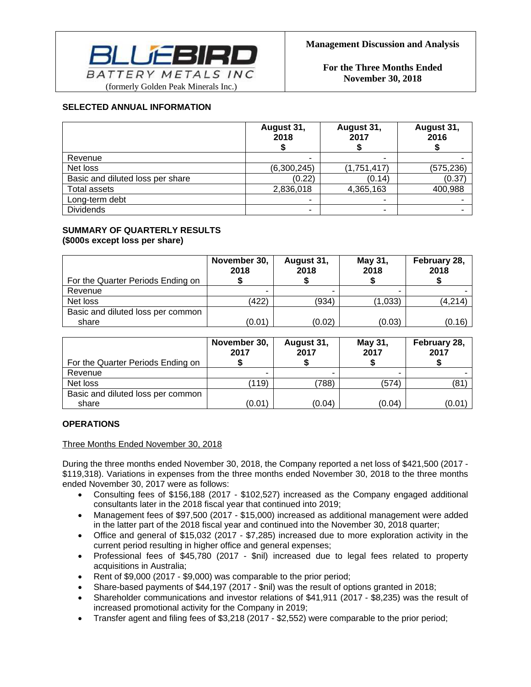

## **SELECTED ANNUAL INFORMATION**

|                                  | August 31,<br>2018 | August 31,<br>2017       | August 31,<br>2016 |
|----------------------------------|--------------------|--------------------------|--------------------|
| Revenue                          |                    |                          |                    |
| Net loss                         | (6,300,245)        | (1,751,417)              | (575, 236)         |
| Basic and diluted loss per share | (0.22)             | (0.14)                   | (0.37)             |
| <b>Total assets</b>              | 2,836,018          | 4,365,163                | 400,988            |
| Long-term debt                   |                    |                          |                    |
| <b>Dividends</b>                 | -                  | $\overline{\phantom{0}}$ |                    |

### **SUMMARY OF QUARTERLY RESULTS (\$000s except loss per share)**

| For the Quarter Periods Ending on | November 30,<br>2018 | August 31,<br>2018 | May 31,<br>2018 | February 28,<br>2018 |
|-----------------------------------|----------------------|--------------------|-----------------|----------------------|
| Revenue                           |                      |                    |                 |                      |
| Net loss                          | (422)                | (934)              | (1,033)         | (4,214)              |
| Basic and diluted loss per common |                      |                    |                 |                      |
| share                             | (0.01)               | (0.02)             | (0.03)          | (0.16)               |

| For the Quarter Periods Ending on | November 30,<br>2017 | August 31,<br>2017 | May 31,<br>2017 | February 28,<br>2017 |
|-----------------------------------|----------------------|--------------------|-----------------|----------------------|
| Revenue                           |                      |                    |                 |                      |
| Net loss                          | (119)                | 788)               | (574)           | (81                  |
| Basic and diluted loss per common |                      |                    |                 |                      |
| share                             | (0.01)               | (0.04)             | (0.04)          | (0.01)               |

# **OPERATIONS**

Three Months Ended November 30, 2018

During the three months ended November 30, 2018, the Company reported a net loss of \$421,500 (2017 - \$119,318). Variations in expenses from the three months ended November 30, 2018 to the three months ended November 30, 2017 were as follows:

- Consulting fees of \$156,188 (2017 \$102,527) increased as the Company engaged additional consultants later in the 2018 fiscal year that continued into 2019;
- Management fees of \$97,500 (2017 \$15,000) increased as additional management were added in the latter part of the 2018 fiscal year and continued into the November 30, 2018 quarter;
- Office and general of \$15,032 (2017 \$7,285) increased due to more exploration activity in the current period resulting in higher office and general expenses;
- Professional fees of \$45,780 (2017 \$nil) increased due to legal fees related to property acquisitions in Australia;
- Rent of \$9,000 (2017 \$9,000) was comparable to the prior period;
- Share-based payments of \$44,197 (2017 \$nil) was the result of options granted in 2018;
- Shareholder communications and investor relations of \$41,911 (2017 \$8,235) was the result of increased promotional activity for the Company in 2019;
- Transfer agent and filing fees of \$3,218 (2017 \$2,552) were comparable to the prior period;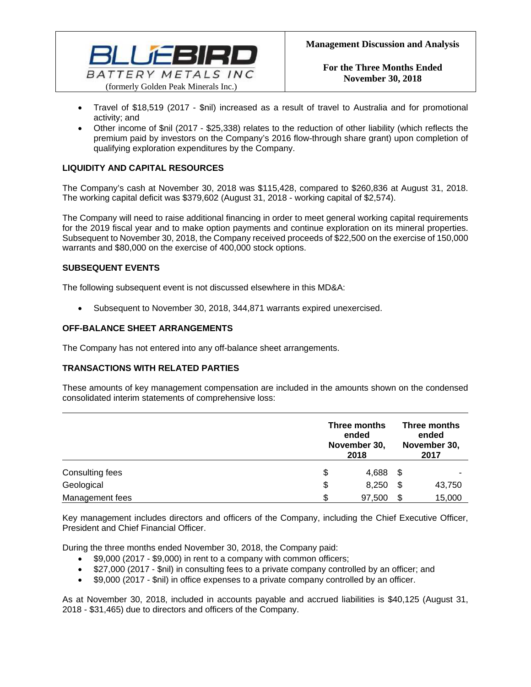

- Travel of \$18,519 (2017 \$nil) increased as a result of travel to Australia and for promotional activity; and
- Other income of \$nil (2017 \$25,338) relates to the reduction of other liability (which reflects the premium paid by investors on the Company's 2016 flow-through share grant) upon completion of qualifying exploration expenditures by the Company.

# **LIQUIDITY AND CAPITAL RESOURCES**

The Company's cash at November 30, 2018 was \$115,428, compared to \$260,836 at August 31, 2018. The working capital deficit was \$379,602 (August 31, 2018 - working capital of \$2,574).

The Company will need to raise additional financing in order to meet general working capital requirements for the 2019 fiscal year and to make option payments and continue exploration on its mineral properties. Subsequent to November 30, 2018, the Company received proceeds of \$22,500 on the exercise of 150,000 warrants and \$80,000 on the exercise of 400,000 stock options.

# **SUBSEQUENT EVENTS**

The following subsequent event is not discussed elsewhere in this MD&A:

Subsequent to November 30, 2018, 344,871 warrants expired unexercised.

## **OFF-BALANCE SHEET ARRANGEMENTS**

The Company has not entered into any off-balance sheet arrangements.

# **TRANSACTIONS WITH RELATED PARTIES**

These amounts of key management compensation are included in the amounts shown on the condensed consolidated interim statements of comprehensive loss:

|                 | Three months<br>ended<br>November 30,<br>2018 |      |        |
|-----------------|-----------------------------------------------|------|--------|
| Consulting fees | \$<br>4,688                                   | - \$ |        |
| Geological      | \$<br>8,250                                   | \$   | 43,750 |
| Management fees | \$<br>97,500                                  | \$   | 15,000 |

Key management includes directors and officers of the Company, including the Chief Executive Officer, President and Chief Financial Officer.

During the three months ended November 30, 2018, the Company paid:

- \$9,000 (2017 \$9,000) in rent to a company with common officers;
- \$27,000 (2017 \$nil) in consulting fees to a private company controlled by an officer; and
- \$9,000 (2017 \$nil) in office expenses to a private company controlled by an officer.

As at November 30, 2018, included in accounts payable and accrued liabilities is \$40,125 (August 31, 2018 - \$31,465) due to directors and officers of the Company.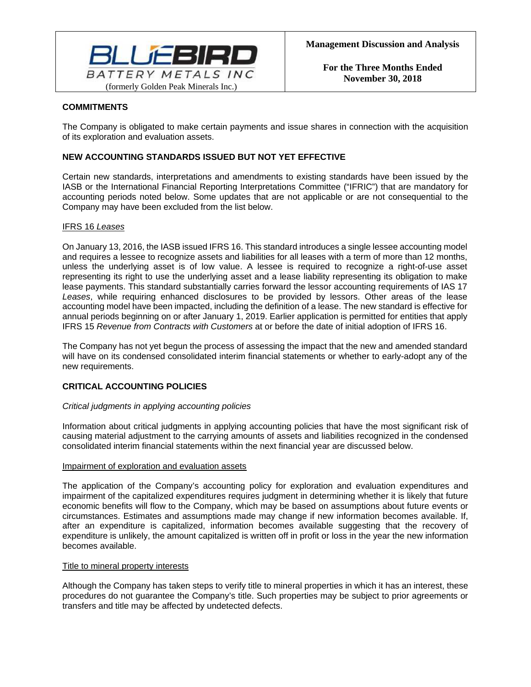

# **COMMITMENTS**

The Company is obligated to make certain payments and issue shares in connection with the acquisition of its exploration and evaluation assets.

# **NEW ACCOUNTING STANDARDS ISSUED BUT NOT YET EFFECTIVE**

Certain new standards, interpretations and amendments to existing standards have been issued by the IASB or the International Financial Reporting Interpretations Committee ("IFRIC") that are mandatory for accounting periods noted below. Some updates that are not applicable or are not consequential to the Company may have been excluded from the list below.

## IFRS 16 *Leases*

On January 13, 2016, the IASB issued IFRS 16. This standard introduces a single lessee accounting model and requires a lessee to recognize assets and liabilities for all leases with a term of more than 12 months, unless the underlying asset is of low value. A lessee is required to recognize a right-of-use asset representing its right to use the underlying asset and a lease liability representing its obligation to make lease payments. This standard substantially carries forward the lessor accounting requirements of IAS 17 *Leases*, while requiring enhanced disclosures to be provided by lessors. Other areas of the lease accounting model have been impacted, including the definition of a lease. The new standard is effective for annual periods beginning on or after January 1, 2019. Earlier application is permitted for entities that apply IFRS 15 *Revenue from Contracts with Customers* at or before the date of initial adoption of IFRS 16.

The Company has not yet begun the process of assessing the impact that the new and amended standard will have on its condensed consolidated interim financial statements or whether to early-adopt any of the new requirements.

# **CRITICAL ACCOUNTING POLICIES**

### *Critical judgments in applying accounting policies*

Information about critical judgments in applying accounting policies that have the most significant risk of causing material adjustment to the carrying amounts of assets and liabilities recognized in the condensed consolidated interim financial statements within the next financial year are discussed below.

### Impairment of exploration and evaluation assets

The application of the Company's accounting policy for exploration and evaluation expenditures and impairment of the capitalized expenditures requires judgment in determining whether it is likely that future economic benefits will flow to the Company, which may be based on assumptions about future events or circumstances. Estimates and assumptions made may change if new information becomes available. If, after an expenditure is capitalized, information becomes available suggesting that the recovery of expenditure is unlikely, the amount capitalized is written off in profit or loss in the year the new information becomes available.

### Title to mineral property interests

Although the Company has taken steps to verify title to mineral properties in which it has an interest, these procedures do not guarantee the Company's title. Such properties may be subject to prior agreements or transfers and title may be affected by undetected defects.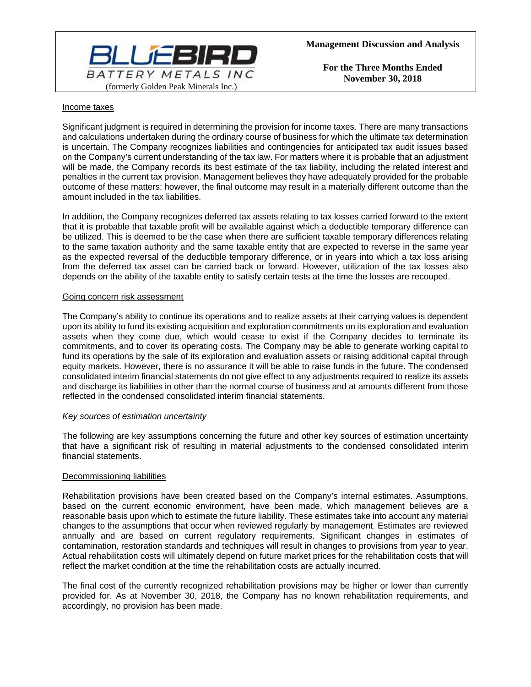

### Income taxes

Significant judgment is required in determining the provision for income taxes. There are many transactions and calculations undertaken during the ordinary course of business for which the ultimate tax determination is uncertain. The Company recognizes liabilities and contingencies for anticipated tax audit issues based on the Company's current understanding of the tax law. For matters where it is probable that an adjustment will be made, the Company records its best estimate of the tax liability, including the related interest and penalties in the current tax provision. Management believes they have adequately provided for the probable outcome of these matters; however, the final outcome may result in a materially different outcome than the amount included in the tax liabilities.

In addition, the Company recognizes deferred tax assets relating to tax losses carried forward to the extent that it is probable that taxable profit will be available against which a deductible temporary difference can be utilized. This is deemed to be the case when there are sufficient taxable temporary differences relating to the same taxation authority and the same taxable entity that are expected to reverse in the same year as the expected reversal of the deductible temporary difference, or in years into which a tax loss arising from the deferred tax asset can be carried back or forward. However, utilization of the tax losses also depends on the ability of the taxable entity to satisfy certain tests at the time the losses are recouped.

### Going concern risk assessment

The Company's ability to continue its operations and to realize assets at their carrying values is dependent upon its ability to fund its existing acquisition and exploration commitments on its exploration and evaluation assets when they come due, which would cease to exist if the Company decides to terminate its commitments, and to cover its operating costs. The Company may be able to generate working capital to fund its operations by the sale of its exploration and evaluation assets or raising additional capital through equity markets. However, there is no assurance it will be able to raise funds in the future. The condensed consolidated interim financial statements do not give effect to any adjustments required to realize its assets and discharge its liabilities in other than the normal course of business and at amounts different from those reflected in the condensed consolidated interim financial statements.

### *Key sources of estimation uncertainty*

The following are key assumptions concerning the future and other key sources of estimation uncertainty that have a significant risk of resulting in material adjustments to the condensed consolidated interim financial statements.

### Decommissioning liabilities

Rehabilitation provisions have been created based on the Company's internal estimates. Assumptions, based on the current economic environment, have been made, which management believes are a reasonable basis upon which to estimate the future liability. These estimates take into account any material changes to the assumptions that occur when reviewed regularly by management. Estimates are reviewed annually and are based on current regulatory requirements. Significant changes in estimates of contamination, restoration standards and techniques will result in changes to provisions from year to year. Actual rehabilitation costs will ultimately depend on future market prices for the rehabilitation costs that will reflect the market condition at the time the rehabilitation costs are actually incurred.

The final cost of the currently recognized rehabilitation provisions may be higher or lower than currently provided for. As at November 30, 2018, the Company has no known rehabilitation requirements, and accordingly, no provision has been made.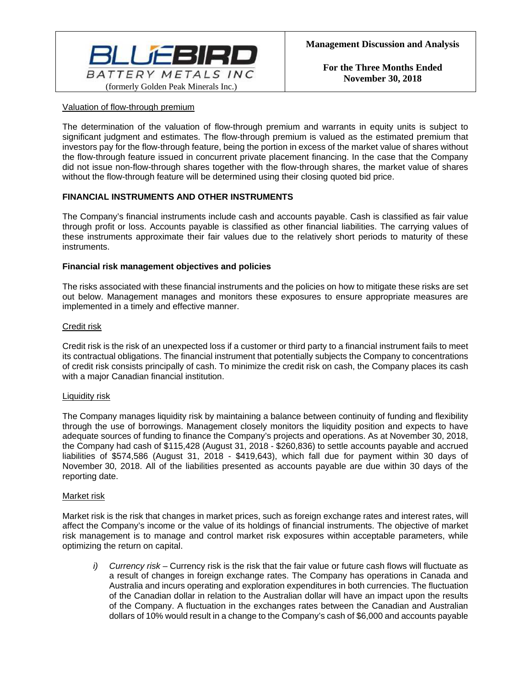

### Valuation of flow-through premium

The determination of the valuation of flow-through premium and warrants in equity units is subject to significant judgment and estimates. The flow-through premium is valued as the estimated premium that investors pay for the flow-through feature, being the portion in excess of the market value of shares without the flow-through feature issued in concurrent private placement financing. In the case that the Company did not issue non-flow-through shares together with the flow-through shares, the market value of shares without the flow-through feature will be determined using their closing quoted bid price.

## **FINANCIAL INSTRUMENTS AND OTHER INSTRUMENTS**

The Company's financial instruments include cash and accounts payable. Cash is classified as fair value through profit or loss. Accounts payable is classified as other financial liabilities. The carrying values of these instruments approximate their fair values due to the relatively short periods to maturity of these instruments.

### **Financial risk management objectives and policies**

The risks associated with these financial instruments and the policies on how to mitigate these risks are set out below. Management manages and monitors these exposures to ensure appropriate measures are implemented in a timely and effective manner.

### Credit risk

Credit risk is the risk of an unexpected loss if a customer or third party to a financial instrument fails to meet its contractual obligations. The financial instrument that potentially subjects the Company to concentrations of credit risk consists principally of cash. To minimize the credit risk on cash, the Company places its cash with a major Canadian financial institution.

### Liquidity risk

The Company manages liquidity risk by maintaining a balance between continuity of funding and flexibility through the use of borrowings. Management closely monitors the liquidity position and expects to have adequate sources of funding to finance the Company's projects and operations. As at November 30, 2018, the Company had cash of \$115,428 (August 31, 2018 - \$260,836) to settle accounts payable and accrued liabilities of \$574,586 (August 31, 2018 - \$419,643), which fall due for payment within 30 days of November 30, 2018. All of the liabilities presented as accounts payable are due within 30 days of the reporting date.

### Market risk

Market risk is the risk that changes in market prices, such as foreign exchange rates and interest rates, will affect the Company's income or the value of its holdings of financial instruments. The objective of market risk management is to manage and control market risk exposures within acceptable parameters, while optimizing the return on capital.

*i) Currency risk –* Currency risk is the risk that the fair value or future cash flows will fluctuate as a result of changes in foreign exchange rates. The Company has operations in Canada and Australia and incurs operating and exploration expenditures in both currencies. The fluctuation of the Canadian dollar in relation to the Australian dollar will have an impact upon the results of the Company. A fluctuation in the exchanges rates between the Canadian and Australian dollars of 10% would result in a change to the Company's cash of \$6,000 and accounts payable